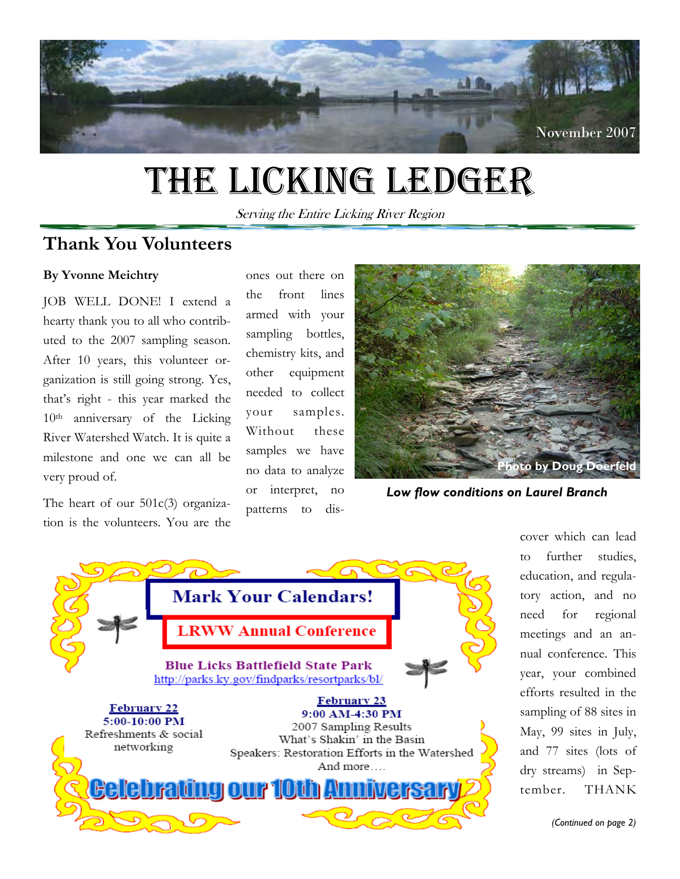

# THE LICKING LEDGER

Serving the Entire Licking River Region

### **Thank You Volunteers**

#### **By Yvonne Meichtry**

JOB WELL DONE! I extend a hearty thank you to all who contributed to the 2007 sampling season. After 10 years, this volunteer organization is still going strong. Yes, that's right - this year marked the 10th anniversary of the Licking River Watershed Watch. It is quite a milestone and one we can all be very proud of.

The heart of our 501c(3) organization is the volunteers. You are the

ones out there on the front lines armed with your sampling bottles, chemistry kits, and other equipment needed to collect your samples. Without these samples we have no data to analyze or interpret, no patterns to dis-



*Low flow conditions on Laurel Branch* 



cover which can lead to further studies, education, and regulatory action, and no need for regional meetings and an annual conference. This year, your combined efforts resulted in the sampling of 88 sites in May, 99 sites in July, and 77 sites (lots of dry streams) in September. THANK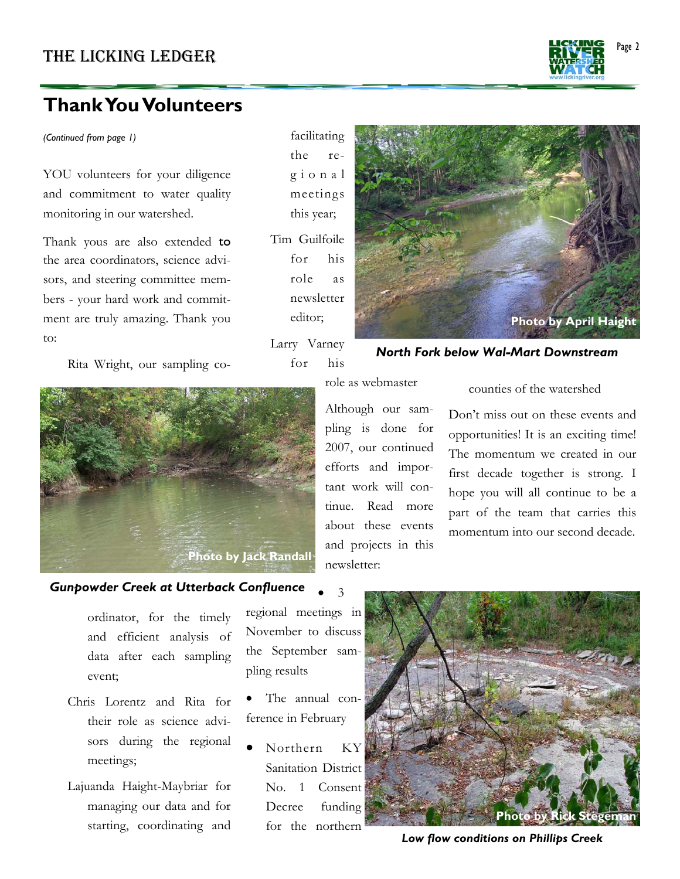## **Thank You Volunteers**

*(Continued from page 1)* 

YOU volunteers for your diligence and commitment to water quality monitoring in our watershed.

Thank yous are also extended to the area coordinators, science advisors, and steering committee members - your hard work and commitment are truly amazing. Thank you to:

Rita Wright, our sampling co-

facilitating the reg i o n a l meetings this year; Tim Guilfoile

for his role as newsletter editor;

Larry Varney for his



#### *North Fork below Wal-Mart Downstream*



role as webmaster

Although our sampling is done for 2007, our continued efforts and important work will continue. Read more about these events and projects in this newsletter:

counties of the watershed

Don't miss out on these events and opportunities! It is an exciting time! The momentum we created in our first decade together is strong. I hope you will all continue to be a part of the team that carries this momentum into our second decade.

#### *Gunpowder Creek at Utterback Confluence*

ordinator, for the timely and efficient analysis of data after each sampling event;

- Chris Lorentz and Rita for their role as science advisors during the regional meetings;
- Lajuanda Haight-Maybriar for managing our data and for starting, coordinating and

regional meetings in November to discuss the September sampling results

• 3

- The annual conference in February
- Northern KY Sanitation District No. 1 Consent Decree funding for the northern



*Low flow conditions on Phillips Creek*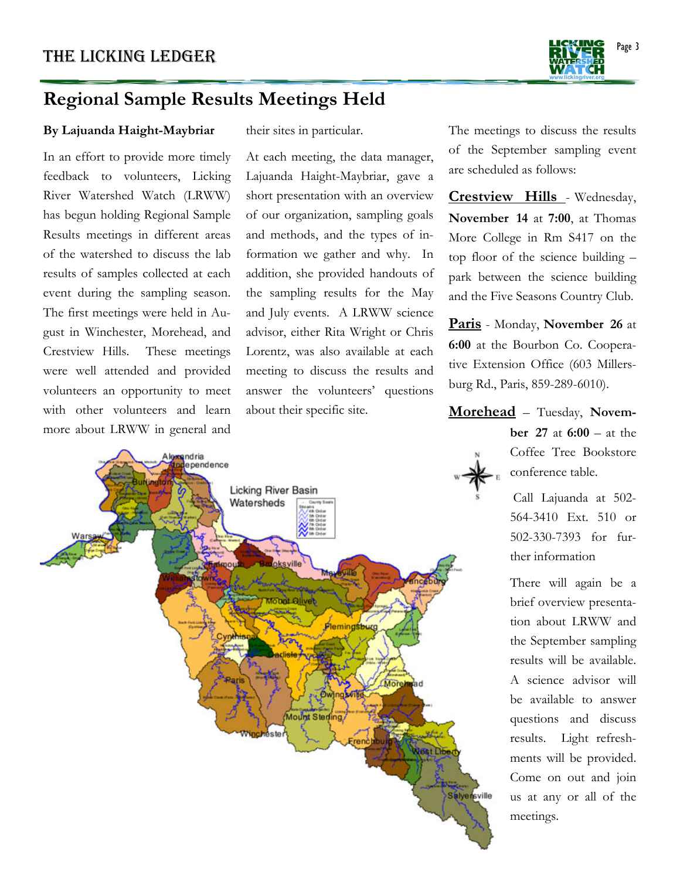

## **Regional Sample Results Meetings Held**

#### **By Lajuanda Haight-Maybriar**

In an effort to provide more timely feedback to volunteers, Licking River Watershed Watch (LRWW) has begun holding Regional Sample Results meetings in different areas of the watershed to discuss the lab results of samples collected at each event during the sampling season. The first meetings were held in August in Winchester, Morehead, and Crestview Hills. These meetings were well attended and provided volunteers an opportunity to meet with other volunteers and learn more about LRWW in general and

their sites in particular.

At each meeting, the data manager, Lajuanda Haight-Maybriar, gave a short presentation with an overview of our organization, sampling goals and methods, and the types of information we gather and why. In addition, she provided handouts of the sampling results for the May and July events. A LRWW science advisor, either Rita Wright or Chris Lorentz, was also available at each meeting to discuss the results and answer the volunteers' questions about their specific site.

indria ependence **Licking River Basin** Watersheds oksville **Cool Olivet** Plemingsburg Morel **Mount Sterling Aste** renč lest De Salyensville

The meetings to discuss the results of the September sampling event are scheduled as follows:

**Crestview Hills** - Wednesday, **November 14** at **7:00**, at Thomas More College in Rm S417 on the top floor of the science building – park between the science building and the Five Seasons Country Club.

**Paris** - Monday, **November 26** at **6:00** at the Bourbon Co. Cooperative Extension Office (603 Millersburg Rd., Paris, 859-289-6010).

**Morehead** – Tuesday, **Novem-**

**ber 27** at **6:00** – at the Coffee Tree Bookstore conference table.

 Call Lajuanda at 502- 564-3410 Ext. 510 or 502-330-7393 for further information

There will again be a brief overview presentation about LRWW and the September sampling results will be available. A science advisor will be available to answer questions and discuss results. Light refreshments will be provided. Come on out and join us at any or all of the meetings.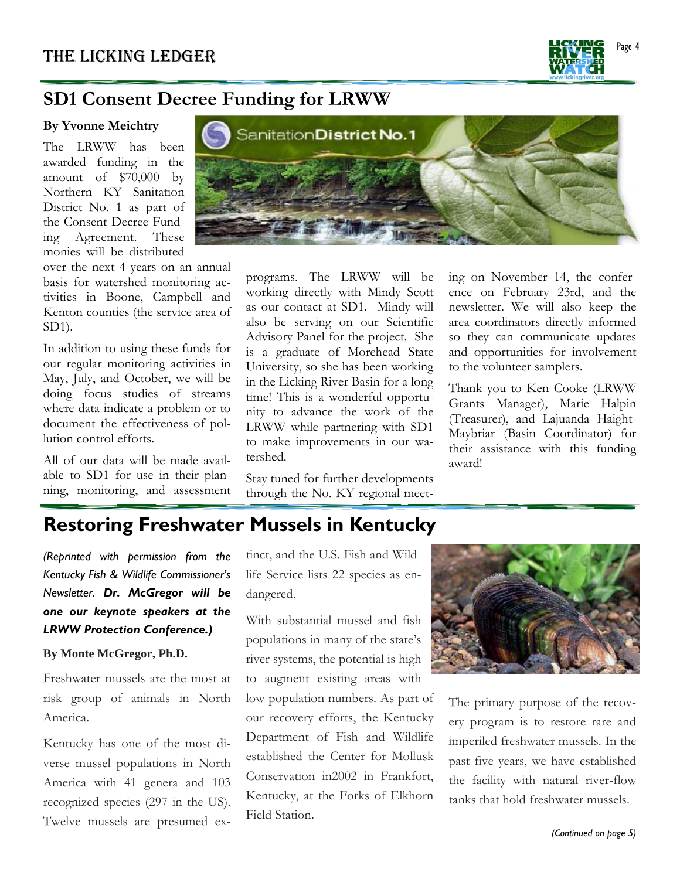

## **SD1 Consent Decree Funding for LRWW**

#### **By Yvonne Meichtry**

The LRWW has been awarded funding in the amount of \$70,000 by Northern KY Sanitation District No. 1 as part of the Consent Decree Funding Agreement. These monies will be distributed

over the next 4 years on an annual basis for watershed monitoring activities in Boone, Campbell and Kenton counties (the service area of SD1).

In addition to using these funds for our regular monitoring activities in May, July, and October, we will be doing focus studies of streams where data indicate a problem or to document the effectiveness of pollution control efforts.

All of our data will be made available to SD1 for use in their planning, monitoring, and assessment



programs. The LRWW will be working directly with Mindy Scott as our contact at SD1. Mindy will also be serving on our Scientific Advisory Panel for the project. She is a graduate of Morehead State University, so she has been working in the Licking River Basin for a long time! This is a wonderful opportunity to advance the work of the LRWW while partnering with SD1 to make improvements in our watershed.

Stay tuned for further developments through the No. KY regional meeting on November 14, the conference on February 23rd, and the newsletter. We will also keep the area coordinators directly informed so they can communicate updates and opportunities for involvement to the volunteer samplers.

Thank you to Ken Cooke (LRWW Grants Manager), Marie Halpin (Treasurer), and Lajuanda Haight-Maybriar (Basin Coordinator) for their assistance with this funding award!

## **Restoring Freshwater Mussels in Kentucky**

*(Reprinted with permission from the Kentucky Fish & Wildlife Commissioner's Newsletter. Dr. McGregor will be one our keynote speakers at the LRWW Protection Conference.)* 

#### **By Monte McGregor, Ph.D.**

Freshwater mussels are the most at risk group of animals in North America.

Kentucky has one of the most diverse mussel populations in North America with 41 genera and 103 recognized species (297 in the US). Twelve mussels are presumed ex-

tinct, and the U.S. Fish and Wildlife Service lists 22 species as endangered.

With substantial mussel and fish populations in many of the state's river systems, the potential is high to augment existing areas with low population numbers. As part of our recovery efforts, the Kentucky Department of Fish and Wildlife established the Center for Mollusk Conservation in2002 in Frankfort, Kentucky, at the Forks of Elkhorn Field Station.



The primary purpose of the recovery program is to restore rare and imperiled freshwater mussels. In the past five years, we have established the facility with natural river-flow tanks that hold freshwater mussels.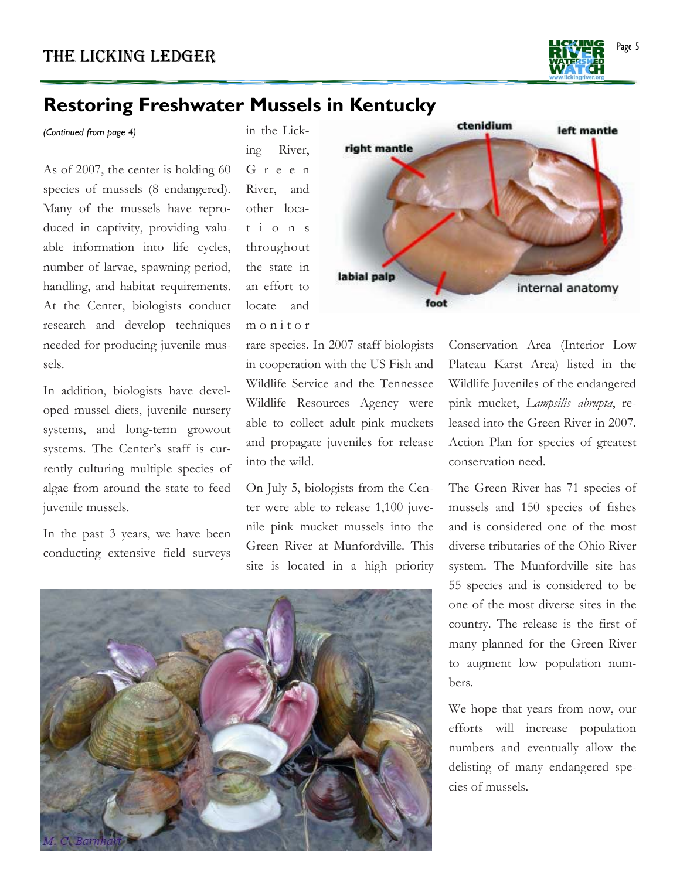

### **Restoring Freshwater Mussels in Kentucky**

*(Continued from page 4)* 

As of 2007, the center is holding 60 species of mussels (8 endangered). Many of the mussels have reproduced in captivity, providing valuable information into life cycles, number of larvae, spawning period, handling, and habitat requirements. At the Center, biologists conduct research and develop techniques needed for producing juvenile mussels.

In addition, biologists have developed mussel diets, juvenile nursery systems, and long-term growout systems. The Center's staff is currently culturing multiple species of algae from around the state to feed juvenile mussels.

In the past 3 years, we have been conducting extensive field surveys in the Licking River, G r e e n River, and other locat i o n s throughout the state in an effort to locate and m o n i t o r

rare species. In 2007 staff biologists in cooperation with the US Fish and Wildlife Service and the Tennessee Wildlife Resources Agency were able to collect adult pink muckets and propagate juveniles for release into the wild.

On July 5, biologists from the Center were able to release 1,100 juvenile pink mucket mussels into the Green River at Munfordville. This site is located in a high priority





Conservation Area (Interior Low Plateau Karst Area) listed in the Wildlife Juveniles of the endangered pink mucket, *Lampsilis abrupta*, released into the Green River in 2007. Action Plan for species of greatest conservation need.

The Green River has 71 species of mussels and 150 species of fishes and is considered one of the most diverse tributaries of the Ohio River system. The Munfordville site has 55 species and is considered to be one of the most diverse sites in the country. The release is the first of many planned for the Green River to augment low population numbers.

We hope that years from now, our efforts will increase population numbers and eventually allow the delisting of many endangered species of mussels.